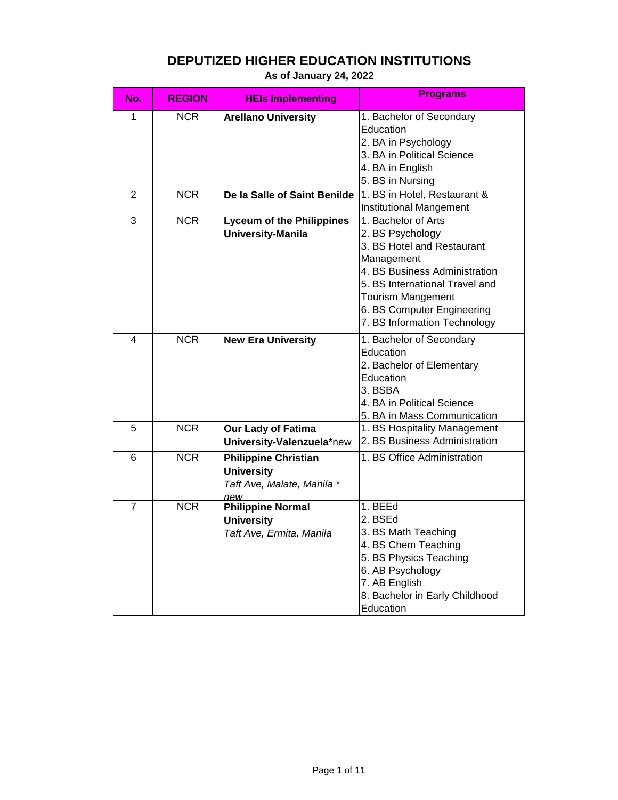| No.            | <b>REGION</b> | <b>HEIs Implementing</b>                                                              | <b>Programs</b>                                                                                                                                                                                                                                  |
|----------------|---------------|---------------------------------------------------------------------------------------|--------------------------------------------------------------------------------------------------------------------------------------------------------------------------------------------------------------------------------------------------|
| 1              | <b>NCR</b>    | <b>Arellano University</b>                                                            | 1. Bachelor of Secondary<br>Education<br>2. BA in Psychology<br>3. BA in Political Science                                                                                                                                                       |
|                |               |                                                                                       | 4. BA in English<br>5. BS in Nursing                                                                                                                                                                                                             |
| 2              | <b>NCR</b>    | De la Salle of Saint Benilde                                                          | 1. BS in Hotel, Restaurant &<br><b>Institutional Mangement</b>                                                                                                                                                                                   |
| 3              | <b>NCR</b>    | <b>Lyceum of the Philippines</b><br><b>University-Manila</b>                          | 1. Bachelor of Arts<br>2. BS Psychology<br>3. BS Hotel and Restaurant<br>Management<br>4. BS Business Administration<br>5. BS International Travel and<br><b>Tourism Mangement</b><br>6. BS Computer Engineering<br>7. BS Information Technology |
| 4              | <b>NCR</b>    | <b>New Era University</b>                                                             | 1. Bachelor of Secondary<br>Education<br>2. Bachelor of Elementary<br>Education<br>3. BSBA<br>4. BA in Political Science<br>5. BA in Mass Communication                                                                                          |
| 5              | <b>NCR</b>    | Our Lady of Fatima<br>University-Valenzuela*new                                       | 1. BS Hospitality Management<br>2. BS Business Administration                                                                                                                                                                                    |
| 6              | <b>NCR</b>    | <b>Philippine Christian</b><br><b>University</b><br>Taft Ave, Malate, Manila *<br>new | 1. BS Office Administration                                                                                                                                                                                                                      |
| $\overline{7}$ | <b>NCR</b>    | <b>Philippine Normal</b><br><b>University</b><br>Taft Ave, Ermita, Manila             | 1. BEEd<br>2. BSEd<br>3. BS Math Teaching<br>4. BS Chem Teaching<br>5. BS Physics Teaching<br>6. AB Psychology<br>7. AB English<br>8. Bachelor in Early Childhood<br>Education                                                                   |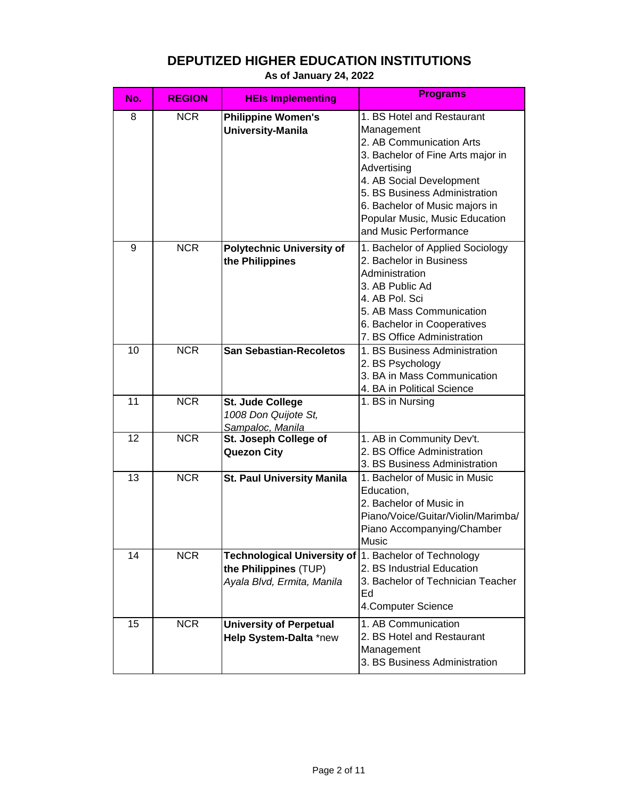| No. | <b>REGION</b> | <b>HEIs Implementing</b>                                                                                     | <b>Programs</b>                                                                                                                                                                                                                                                                    |
|-----|---------------|--------------------------------------------------------------------------------------------------------------|------------------------------------------------------------------------------------------------------------------------------------------------------------------------------------------------------------------------------------------------------------------------------------|
| 8   | <b>NCR</b>    | <b>Philippine Women's</b><br><b>University-Manila</b>                                                        | 1. BS Hotel and Restaurant<br>Management<br>2. AB Communication Arts<br>3. Bachelor of Fine Arts major in<br>Advertising<br>4. AB Social Development<br>5. BS Business Administration<br>6. Bachelor of Music majors in<br>Popular Music, Music Education<br>and Music Performance |
| 9   | <b>NCR</b>    | <b>Polytechnic University of</b><br>the Philippines                                                          | 1. Bachelor of Applied Sociology<br>2. Bachelor in Business<br>Administration<br>3. AB Public Ad<br>4. AB Pol. Sci<br>5. AB Mass Communication<br>6. Bachelor in Cooperatives<br>7. BS Office Administration                                                                       |
| 10  | <b>NCR</b>    | <b>San Sebastian-Recoletos</b>                                                                               | 1. BS Business Administration<br>2. BS Psychology<br>3. BA in Mass Communication<br>4. BA in Political Science                                                                                                                                                                     |
| 11  | <b>NCR</b>    | <b>St. Jude College</b><br>1008 Don Quijote St,<br>Sampaloc, Manila                                          | 1. BS in Nursing                                                                                                                                                                                                                                                                   |
| 12  | <b>NCR</b>    | St. Joseph College of<br><b>Quezon City</b>                                                                  | 1. AB in Community Dev't.<br>2. BS Office Administration<br>3. BS Business Administration                                                                                                                                                                                          |
| 13  | <b>NCR</b>    | <b>St. Paul University Manila</b>                                                                            | 1. Bachelor of Music in Music<br>Education,<br>2. Bachelor of Music in<br>Piano/Voice/Guitar/Violin/Marimba/<br>Piano Accompanying/Chamber<br><b>Music</b>                                                                                                                         |
| 14  | <b>NCR</b>    | Technological University of 1. Bachelor of Technology<br>the Philippines (TUP)<br>Ayala Blvd, Ermita, Manila | 2. BS Industrial Education<br>3. Bachelor of Technician Teacher<br>Ed<br>4.Computer Science                                                                                                                                                                                        |
| 15  | <b>NCR</b>    | <b>University of Perpetual</b><br>Help System-Dalta *new                                                     | 1. AB Communication<br>2. BS Hotel and Restaurant<br>Management<br>3. BS Business Administration                                                                                                                                                                                   |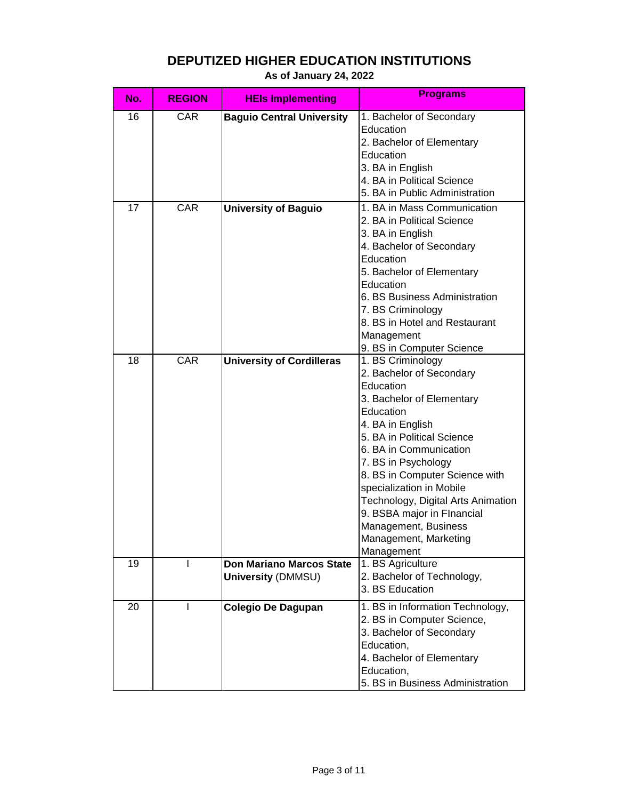| No. | <b>REGION</b> | <b>HEIs Implementing</b>         | <b>Programs</b>                    |
|-----|---------------|----------------------------------|------------------------------------|
| 16  | <b>CAR</b>    | <b>Baguio Central University</b> | 1. Bachelor of Secondary           |
|     |               |                                  | Education                          |
|     |               |                                  | 2. Bachelor of Elementary          |
|     |               |                                  | Education                          |
|     |               |                                  | 3. BA in English                   |
|     |               |                                  | 4. BA in Political Science         |
|     |               |                                  | 5. BA in Public Administration     |
| 17  | <b>CAR</b>    | <b>University of Baguio</b>      | 1. BA in Mass Communication        |
|     |               |                                  | 2. BA in Political Science         |
|     |               |                                  | 3. BA in English                   |
|     |               |                                  | 4. Bachelor of Secondary           |
|     |               |                                  | Education                          |
|     |               |                                  | 5. Bachelor of Elementary          |
|     |               |                                  | Education                          |
|     |               |                                  | 6. BS Business Administration      |
|     |               |                                  | 7. BS Criminology                  |
|     |               |                                  | 8. BS in Hotel and Restaurant      |
|     |               |                                  | Management                         |
|     |               |                                  | 9. BS in Computer Science          |
| 18  | CAR           | <b>University of Cordilleras</b> | 1. BS Criminology                  |
|     |               |                                  | 2. Bachelor of Secondary           |
|     |               |                                  | Education                          |
|     |               |                                  | 3. Bachelor of Elementary          |
|     |               |                                  | Education                          |
|     |               |                                  | 4. BA in English                   |
|     |               |                                  | 5. BA in Political Science         |
|     |               |                                  | 6. BA in Communication             |
|     |               |                                  | 7. BS in Psychology                |
|     |               |                                  | 8. BS in Computer Science with     |
|     |               |                                  | specialization in Mobile           |
|     |               |                                  | Technology, Digital Arts Animation |
|     |               |                                  | 9. BSBA major in Flnancial         |
|     |               |                                  | Management, Business               |
|     |               |                                  | Management, Marketing              |
|     |               |                                  | Management                         |
| 19  |               | <b>Don Mariano Marcos State</b>  | 1. BS Agriculture                  |
|     |               | <b>University (DMMSU)</b>        | 2. Bachelor of Technology,         |
|     |               |                                  | 3. BS Education                    |
| 20  |               | Colegio De Dagupan               | 1. BS in Information Technology,   |
|     |               |                                  | 2. BS in Computer Science,         |
|     |               |                                  | 3. Bachelor of Secondary           |
|     |               |                                  | Education,                         |
|     |               |                                  | 4. Bachelor of Elementary          |
|     |               |                                  | Education,                         |
|     |               |                                  | 5. BS in Business Administration   |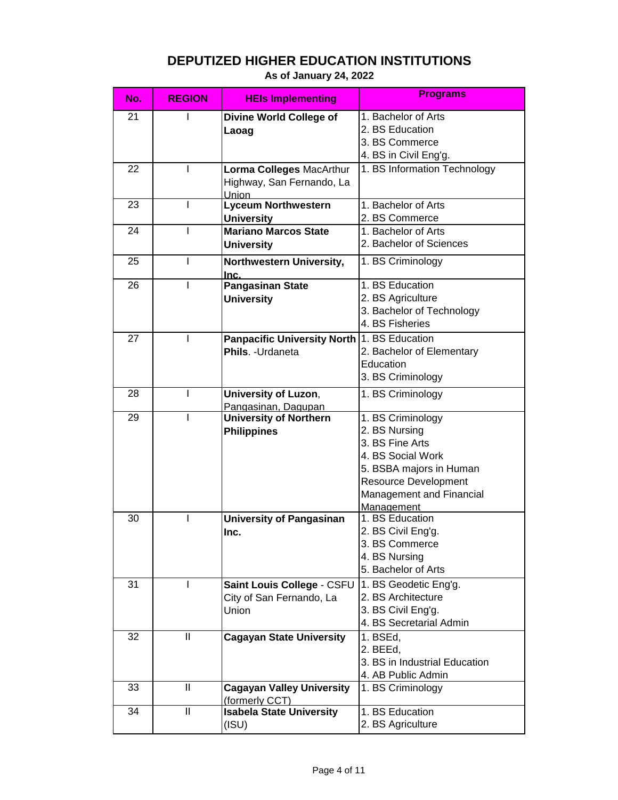|  | As of January 24, 2022 |  |
|--|------------------------|--|
|  |                        |  |

| No. | <b>REGION</b>                             | <b>HEIs Implementing</b>                           | <b>Programs</b>               |
|-----|-------------------------------------------|----------------------------------------------------|-------------------------------|
| 21  |                                           | <b>Divine World College of</b>                     | 1. Bachelor of Arts           |
|     |                                           | Laoag                                              | 2. BS Education               |
|     |                                           |                                                    | 3. BS Commerce                |
|     |                                           |                                                    | 4. BS in Civil Eng'g.         |
| 22  | I                                         | Lorma Colleges MacArthur                           | 1. BS Information Technology  |
|     |                                           | Highway, San Fernando, La                          |                               |
|     |                                           | <b>Union</b>                                       |                               |
| 23  | I                                         | <b>Lyceum Northwestern</b>                         | 1. Bachelor of Arts           |
|     |                                           | <b>University</b>                                  | 2. BS Commerce                |
| 24  |                                           | <b>Mariano Marcos State</b>                        | 1. Bachelor of Arts           |
|     |                                           | <b>University</b>                                  | 2. Bachelor of Sciences       |
| 25  |                                           | Northwestern University,<br>Inc.                   | 1. BS Criminology             |
| 26  |                                           | <b>Pangasinan State</b>                            | 1. BS Education               |
|     |                                           | <b>University</b>                                  | 2. BS Agriculture             |
|     |                                           |                                                    | 3. Bachelor of Technology     |
|     |                                           |                                                    | 4. BS Fisheries               |
| 27  | I                                         | Panpacific University North 1. BS Education        |                               |
|     |                                           | Phils. - Urdaneta                                  | 2. Bachelor of Elementary     |
|     |                                           |                                                    | Education                     |
|     |                                           |                                                    | 3. BS Criminology             |
| 28  |                                           | <b>University of Luzon,</b>                        | 1. BS Criminology             |
|     |                                           | Pangasinan, Dagupan                                |                               |
| 29  |                                           | <b>University of Northern</b>                      | 1. BS Criminology             |
|     |                                           | <b>Philippines</b>                                 | 2. BS Nursing                 |
|     |                                           |                                                    | 3. BS Fine Arts               |
|     |                                           |                                                    | 4. BS Social Work             |
|     |                                           |                                                    | 5. BSBA majors in Human       |
|     |                                           |                                                    | <b>Resource Development</b>   |
|     |                                           |                                                    | Management and Financial      |
|     |                                           |                                                    | Management                    |
| 30  | L                                         | <b>University of Pangasinan</b>                    | 1. BS Education               |
|     |                                           | Inc.                                               | 2. BS Civil Eng'g.            |
|     |                                           |                                                    | 3. BS Commerce                |
|     |                                           |                                                    | 4. BS Nursing                 |
|     |                                           |                                                    | 5. Bachelor of Arts           |
| 31  | Ш                                         | Saint Louis College - CSFU                         | 1. BS Geodetic Eng'g.         |
|     |                                           | City of San Fernando, La                           | 2. BS Architecture            |
|     |                                           | Union                                              | 3. BS Civil Eng'g.            |
|     |                                           |                                                    | 4. BS Secretarial Admin       |
| 32  | Ш                                         | <b>Cagayan State University</b>                    | 1. BSEd,                      |
|     |                                           |                                                    | 2. BEEd,                      |
|     |                                           |                                                    | 3. BS in Industrial Education |
|     |                                           |                                                    | 4. AB Public Admin            |
| 33  | $\label{eq:1} \prod_{i=1}^n \mathbb{I}^i$ | <b>Cagayan Valley University</b><br>(formerly CCT) | 1. BS Criminology             |
| 34  | $\label{eq:1} \prod_{i=1}^n \mathbb{I}^i$ | <b>Isabela State University</b>                    | 1. BS Education               |
|     |                                           | (ISU)                                              | 2. BS Agriculture             |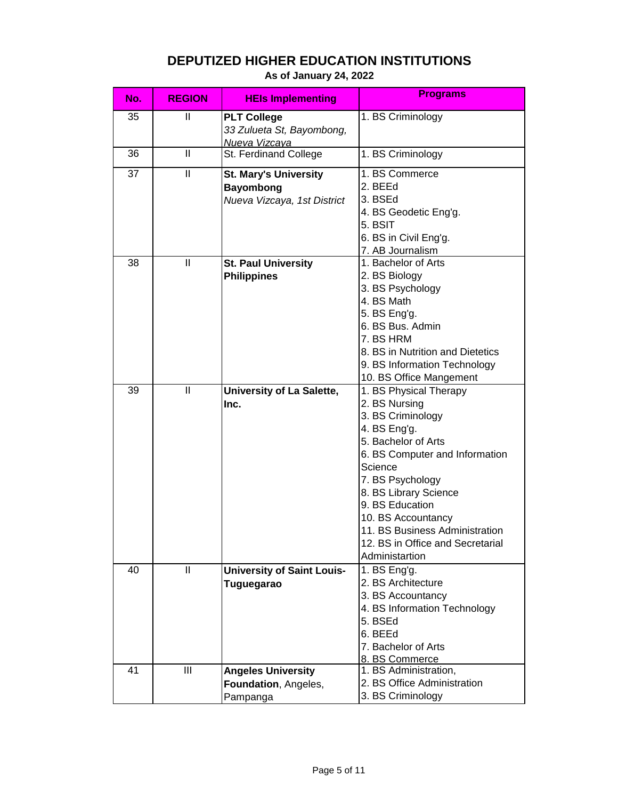|  |  | As of January 24, 2022 |  |  |  |  |
|--|--|------------------------|--|--|--|--|
|--|--|------------------------|--|--|--|--|

| No. | <b>REGION</b> | <b>HEIs Implementing</b>                                                        | <b>Programs</b>                                                                                                                                                                                                                                                                                                                |
|-----|---------------|---------------------------------------------------------------------------------|--------------------------------------------------------------------------------------------------------------------------------------------------------------------------------------------------------------------------------------------------------------------------------------------------------------------------------|
| 35  | Ш             | <b>PLT College</b><br>33 Zulueta St, Bayombong,<br>Nueva Vizcaya                | 1. BS Criminology                                                                                                                                                                                                                                                                                                              |
| 36  | $\mathbf{I}$  | St. Ferdinand College                                                           | 1. BS Criminology                                                                                                                                                                                                                                                                                                              |
| 37  | $\mathbf{I}$  | <b>St. Mary's University</b><br><b>Bayombong</b><br>Nueva Vizcaya, 1st District | 1. BS Commerce<br>2. BEEd<br>3. BSEd<br>4. BS Geodetic Eng'g.<br>5. BSIT<br>6. BS in Civil Eng'g.<br>7. AB Journalism                                                                                                                                                                                                          |
| 38  | Ш             | <b>St. Paul University</b><br><b>Philippines</b>                                | 1. Bachelor of Arts<br>2. BS Biology<br>3. BS Psychology<br>4. BS Math<br>5. BS Eng'g.<br>6. BS Bus. Admin<br>7. BS HRM<br>8. BS in Nutrition and Dietetics<br>9. BS Information Technology<br>10. BS Office Mangement                                                                                                         |
| 39  | $\mathbf{I}$  | University of La Salette,<br>Inc.                                               | 1. BS Physical Therapy<br>2. BS Nursing<br>3. BS Criminology<br>4. BS Eng'g.<br>5. Bachelor of Arts<br>6. BS Computer and Information<br>Science<br>7. BS Psychology<br>8. BS Library Science<br>9. BS Education<br>10. BS Accountancy<br>11. BS Business Administration<br>12. BS in Office and Secretarial<br>Administartion |
| 40  | $\mathsf{II}$ | <b>University of Saint Louis-</b><br>Tuguegarao                                 | 1. $BS Eng'g.$<br>2. BS Architecture<br>3. BS Accountancy<br>4. BS Information Technology<br>5. BSEd<br>6. BEEd<br>7. Bachelor of Arts<br>8. BS Commerce                                                                                                                                                                       |
| 41  | III           | <b>Angeles University</b><br>Foundation, Angeles,<br>Pampanga                   | 1. BS Administration,<br>2. BS Office Administration<br>3. BS Criminology                                                                                                                                                                                                                                                      |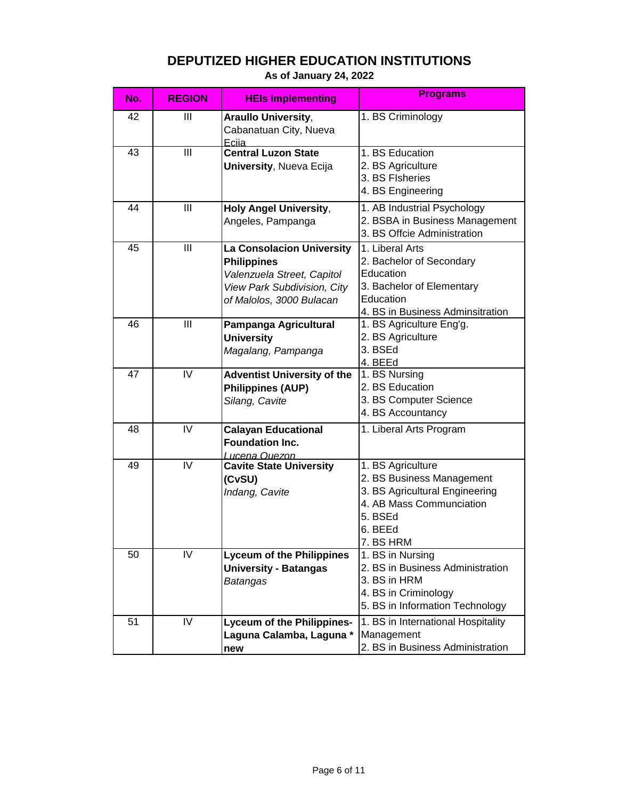|  |  | As of January 24, 2022 |  |  |
|--|--|------------------------|--|--|
|--|--|------------------------|--|--|

| No. | <b>REGION</b> | <b>HEIs Implementing</b>           | <b>Programs</b>                                      |
|-----|---------------|------------------------------------|------------------------------------------------------|
| 42  | Ш             | <b>Araullo University,</b>         | 1. BS Criminology                                    |
|     |               | Cabanatuan City, Nueva<br>Ecija    |                                                      |
| 43  | III           | <b>Central Luzon State</b>         | 1. BS Education                                      |
|     |               | <b>University, Nueva Ecija</b>     | 2. BS Agriculture                                    |
|     |               |                                    | 3. BS Flsheries                                      |
|     |               |                                    | 4. BS Engineering                                    |
| 44  | III           | <b>Holy Angel University,</b>      | 1. AB Industrial Psychology                          |
|     |               | Angeles, Pampanga                  | 2. BSBA in Business Management                       |
|     |               |                                    | 3. BS Offcie Administration                          |
| 45  | III           | <b>La Consolacion University</b>   | 1. Liberal Arts                                      |
|     |               | <b>Philippines</b>                 | 2. Bachelor of Secondary                             |
|     |               | Valenzuela Street, Capitol         | Education                                            |
|     |               | View Park Subdivision, City        | 3. Bachelor of Elementary                            |
|     |               | of Malolos, 3000 Bulacan           | Education                                            |
|     |               |                                    | 4. BS in Business Adminsitration                     |
| 46  | Ш             | Pampanga Agricultural              | 1. BS Agriculture Eng'g.                             |
|     |               | <b>University</b>                  | 2. BS Agriculture                                    |
|     |               | Magalang, Pampanga                 | 3. BSEd                                              |
|     |               |                                    | 4. BEEd                                              |
| 47  | IV            | <b>Adventist University of the</b> | 1. BS Nursing                                        |
|     |               | <b>Philippines (AUP)</b>           | 2. BS Education                                      |
|     |               | Silang, Cavite                     | 3. BS Computer Science                               |
|     |               |                                    | 4. BS Accountancy                                    |
| 48  | IV            | <b>Calayan Educational</b>         | 1. Liberal Arts Program                              |
|     |               | <b>Foundation Inc.</b>             |                                                      |
|     |               | <u>Lucena Quezon</u>               |                                                      |
| 49  | IV            | <b>Cavite State University</b>     | 1. BS Agriculture                                    |
|     |               | (CvSU)                             | 2. BS Business Management                            |
|     |               | Indang, Cavite                     | 3. BS Agricultural Engineering                       |
|     |               |                                    | 4. AB Mass Communciation                             |
|     |               |                                    | 5. BSEd                                              |
|     |               |                                    | 6. BEEd                                              |
| 50  | IV            |                                    | 7. BS HRM                                            |
|     |               | <b>Lyceum of the Philippines</b>   | 1. BS in Nursing<br>2. BS in Business Administration |
|     |               | <b>University - Batangas</b>       | 3. BS in HRM                                         |
|     |               | Batangas                           | 4. BS in Criminology                                 |
|     |               |                                    | 5. BS in Information Technology                      |
|     |               |                                    |                                                      |
| 51  | IV            | <b>Lyceum of the Philippines-</b>  | 1. BS in International Hospitality                   |
|     |               | Laguna Calamba, Laguna *           | Management                                           |
|     |               | new                                | 2. BS in Business Administration                     |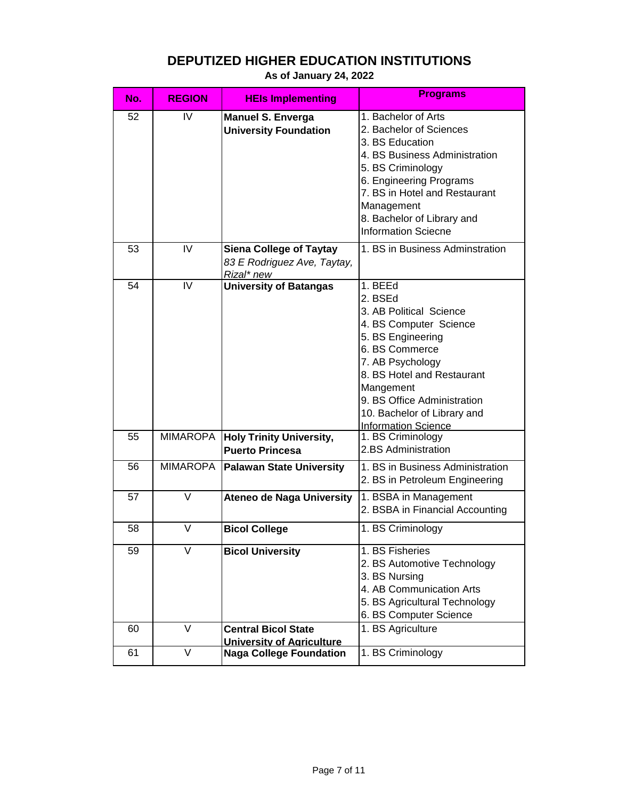| No. | <b>REGION</b>   | <b>HEIs Implementing</b>                                                    | <b>Programs</b>                                                                                                                                                                                                                                                           |
|-----|-----------------|-----------------------------------------------------------------------------|---------------------------------------------------------------------------------------------------------------------------------------------------------------------------------------------------------------------------------------------------------------------------|
| 52  | IV              | <b>Manuel S. Enverga</b><br><b>University Foundation</b>                    | 1. Bachelor of Arts<br>2. Bachelor of Sciences<br>3. BS Education<br>4. BS Business Administration<br>5. BS Criminology<br>6. Engineering Programs<br>7. BS in Hotel and Restaurant<br>Management<br>8. Bachelor of Library and<br><b>Information Sciecne</b>             |
| 53  | IV              | <b>Siena College of Taytay</b><br>83 E Rodriguez Ave, Taytay,<br>Rizal* new | 1. BS in Business Adminstration                                                                                                                                                                                                                                           |
| 54  | IV              | <b>University of Batangas</b>                                               | 1. BEEd<br>2. BSEd<br>3. AB Political Science<br>4. BS Computer Science<br>5. BS Engineering<br>6. BS Commerce<br>7. AB Psychology<br>8. BS Hotel and Restaurant<br>Mangement<br>9. BS Office Administration<br>10. Bachelor of Library and<br><b>Information Science</b> |
| 55  |                 | MIMAROPA   Holy Trinity University,<br><b>Puerto Princesa</b>               | 1. BS Criminology<br>2.BS Administration                                                                                                                                                                                                                                  |
| 56  | <b>MIMAROPA</b> | <b>Palawan State University</b>                                             | 1. BS in Business Administration<br>2. BS in Petroleum Engineering                                                                                                                                                                                                        |
| 57  | V               | <b>Ateneo de Naga University</b>                                            | 1. BSBA in Management<br>2. BSBA in Financial Accounting                                                                                                                                                                                                                  |
| 58  | V               | <b>Bicol College</b>                                                        | 1. BS Criminology                                                                                                                                                                                                                                                         |
| 59  |                 | <b>Bicol University</b>                                                     | 1. BS Fisheries<br>2. BS Automotive Technology<br>3. BS Nursing<br>4. AB Communication Arts<br>5. BS Agricultural Technology<br>6. BS Computer Science                                                                                                                    |
| 60  | $\vee$          | <b>Central Bicol State</b><br><b>University of Agriculture</b>              | 1. BS Agriculture                                                                                                                                                                                                                                                         |
| 61  | V               | <b>Naga College Foundation</b>                                              | 1. BS Criminology                                                                                                                                                                                                                                                         |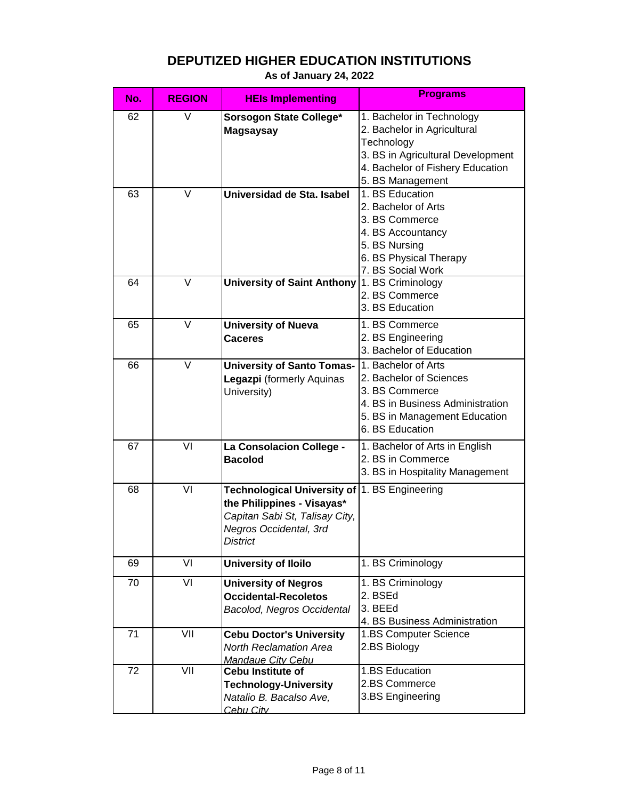| No. | <b>REGION</b> | <b>HEIs Implementing</b>                                                                                                                        | <b>Programs</b>                                                                                                                                                     |
|-----|---------------|-------------------------------------------------------------------------------------------------------------------------------------------------|---------------------------------------------------------------------------------------------------------------------------------------------------------------------|
| 62  | V             | Sorsogon State College*<br><b>Magsaysay</b>                                                                                                     | 1. Bachelor in Technology<br>2. Bachelor in Agricultural<br>Technology<br>3. BS in Agricultural Development<br>4. Bachelor of Fishery Education<br>5. BS Management |
| 63  | V             | Universidad de Sta. Isabel                                                                                                                      | 1. BS Education<br>2. Bachelor of Arts<br>3. BS Commerce<br>4. BS Accountancy<br>5. BS Nursing<br>6. BS Physical Therapy<br>7. BS Social Work                       |
| 64  | V             | University of Saint Anthony                                                                                                                     | 1. BS Criminology<br>2. BS Commerce<br>3. BS Education                                                                                                              |
| 65  | V             | <b>University of Nueva</b><br><b>Caceres</b>                                                                                                    | 1. BS Commerce<br>2. BS Engineering<br>3. Bachelor of Education                                                                                                     |
| 66  | V             | <b>University of Santo Tomas-</b><br>Legazpi (formerly Aquinas<br>University)                                                                   | 1. Bachelor of Arts<br>2. Bachelor of Sciences<br>3. BS Commerce<br>4. BS in Business Administration<br>5. BS in Management Education<br>6. BS Education            |
| 67  | VI            | La Consolacion College -<br><b>Bacolod</b>                                                                                                      | 1. Bachelor of Arts in English<br>2. BS in Commerce<br>3. BS in Hospitality Management                                                                              |
| 68  | VI            | <b>Technological University of</b><br>the Philippines - Visayas*<br>Capitan Sabi St, Talisay City,<br>Negros Occidental, 3rd<br><b>District</b> | 1. BS Engineering                                                                                                                                                   |
| 69  | VI            | <b>University of Iloilo</b>                                                                                                                     | 1. BS Criminology                                                                                                                                                   |
| 70  | VI            | <b>University of Negros</b><br><b>Occidental-Recoletos</b><br>Bacolod, Negros Occidental                                                        | 1. BS Criminology<br>2. BSEd<br>3. BEEd<br>4. BS Business Administration                                                                                            |
| 71  | VII           | <b>Cebu Doctor's University</b><br><b>North Reclamation Area</b><br>Mandaue City Cebu                                                           | 1.BS Computer Science<br>2.BS Biology                                                                                                                               |
| 72  | VII           | <b>Cebu Institute of</b><br><b>Technology-University</b><br>Natalio B. Bacalso Ave,<br>Cebu City                                                | 1.BS Education<br>2.BS Commerce<br>3.BS Engineering                                                                                                                 |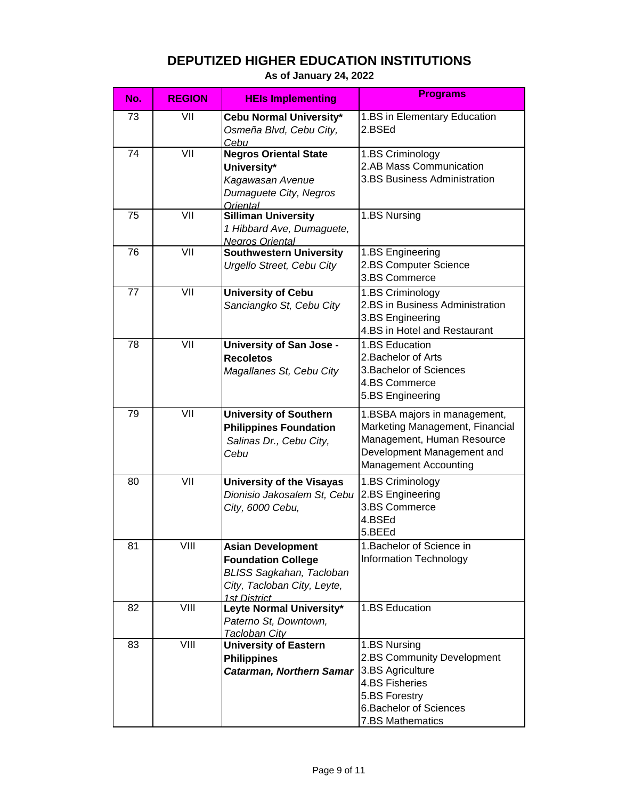| No. | <b>REGION</b> | <b>HEIs Implementing</b>                                                                                                                | <b>Programs</b>                                                                                                                                             |
|-----|---------------|-----------------------------------------------------------------------------------------------------------------------------------------|-------------------------------------------------------------------------------------------------------------------------------------------------------------|
| 73  | VII           | Cebu Normal University*<br>Osmeña Blvd, Cebu City,<br>Cebu                                                                              | 1.BS in Elementary Education<br>2.BSEd                                                                                                                      |
| 74  | VII           | <b>Negros Oriental State</b><br>University*<br>Kagawasan Avenue<br>Dumaguete City, Negros<br>Oriental                                   | 1.BS Criminology<br>2.AB Mass Communication<br>3.BS Business Administration                                                                                 |
| 75  | VII           | <b>Silliman University</b><br>1 Hibbard Ave, Dumaguete,<br><b>Negros Oriental</b>                                                       | 1.BS Nursing                                                                                                                                                |
| 76  | VII           | <b>Southwestern University</b><br>Urgello Street, Cebu City                                                                             | 1.BS Engineering<br>2.BS Computer Science<br>3.BS Commerce                                                                                                  |
| 77  | VII           | <b>University of Cebu</b><br>Sanciangko St, Cebu City                                                                                   | 1.BS Criminology<br>2.BS in Business Administration<br>3.BS Engineering<br>4.BS in Hotel and Restaurant                                                     |
| 78  | VII           | <b>University of San Jose -</b><br><b>Recoletos</b><br>Magallanes St, Cebu City                                                         | 1.BS Education<br>2. Bachelor of Arts<br>3. Bachelor of Sciences<br>4.BS Commerce<br>5.BS Engineering                                                       |
| 79  | VII           | <b>University of Southern</b><br><b>Philippines Foundation</b><br>Salinas Dr., Cebu City,<br>Cebu                                       | 1.BSBA majors in management,<br>Marketing Management, Financial<br>Management, Human Resource<br>Development Management and<br><b>Management Accounting</b> |
| 80  | VII           | University of the Visayas<br>Dionisio Jakosalem St, Cebu<br>City, 6000 Cebu,                                                            | 1.BS Criminology<br>2.BS Engineering<br>3.BS Commerce<br>4.BSEd<br>5.BEEd                                                                                   |
| 81  | VIII          | <b>Asian Development</b><br><b>Foundation College</b><br><b>BLISS Sagkahan, Tacloban</b><br>City, Tacloban City, Leyte,<br>1st District | 1. Bachelor of Science in<br>Information Technology                                                                                                         |
| 82  | VIII          | Leyte Normal University*<br>Paterno St, Downtown,<br>Tacloban City                                                                      | 1.BS Education                                                                                                                                              |
| 83  | VIII          | <b>University of Eastern</b><br><b>Philippines</b><br><b>Catarman, Northern Samar</b>                                                   | 1.BS Nursing<br>2.BS Community Development<br>3.BS Agriculture<br>4.BS Fisheries<br>5.BS Forestry<br>6. Bachelor of Sciences<br>7.BS Mathematics            |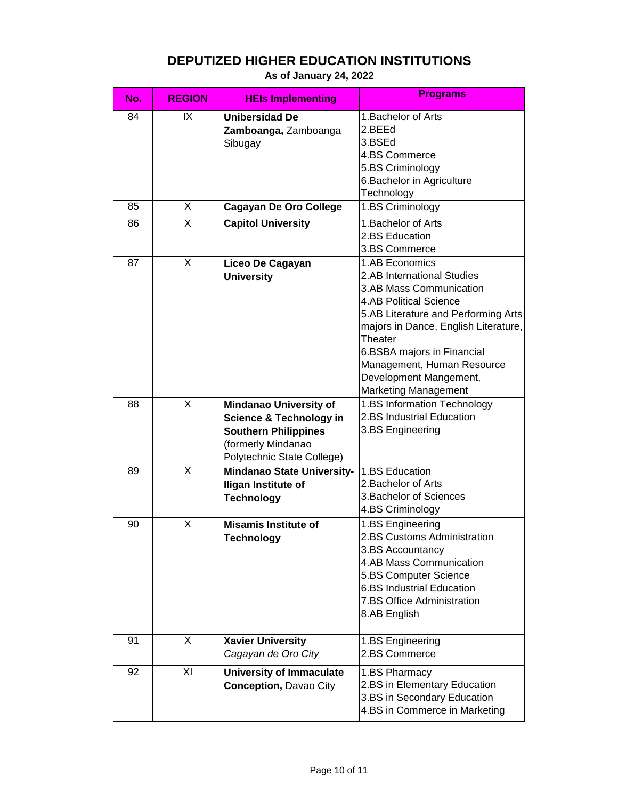| No. | <b>REGION</b>  | <b>HEIs Implementing</b>                                                                                                                               | <b>Programs</b>                                                                                                                                                                                                                                                                                                         |
|-----|----------------|--------------------------------------------------------------------------------------------------------------------------------------------------------|-------------------------------------------------------------------------------------------------------------------------------------------------------------------------------------------------------------------------------------------------------------------------------------------------------------------------|
| 84  | IX             | <b>Unibersidad De</b><br>Zamboanga, Zamboanga<br>Sibugay                                                                                               | 1. Bachelor of Arts<br>2.BEEd<br>3.BSEd<br>4.BS Commerce<br>5.BS Criminology<br>6. Bachelor in Agriculture<br>Technology                                                                                                                                                                                                |
| 85  | X              | <b>Cagayan De Oro College</b>                                                                                                                          | 1.BS Criminology                                                                                                                                                                                                                                                                                                        |
| 86  | X              | <b>Capitol University</b>                                                                                                                              | 1. Bachelor of Arts<br>2.BS Education<br>3.BS Commerce                                                                                                                                                                                                                                                                  |
| 87  | $\overline{X}$ | Liceo De Cagayan<br><b>University</b>                                                                                                                  | 1.AB Economics<br>2.AB International Studies<br>3.AB Mass Communication<br><b>4.AB Political Science</b><br>5.AB Literature and Performing Arts<br>majors in Dance, English Literature,<br>Theater<br>6.BSBA majors in Financial<br>Management, Human Resource<br>Development Mangement,<br><b>Marketing Management</b> |
| 88  | X              | <b>Mindanao University of</b><br><b>Science &amp; Technology in</b><br><b>Southern Philippines</b><br>(formerly Mindanao<br>Polytechnic State College) | 1.BS Information Technology<br>2.BS Industrial Education<br>3.BS Engineering                                                                                                                                                                                                                                            |
| 89  | $\sf X$        | <b>Mindanao State University-</b><br><b>Iligan Institute of</b><br><b>Technology</b>                                                                   | 1.BS Education<br>2. Bachelor of Arts<br>3. Bachelor of Sciences<br>4.BS Criminology                                                                                                                                                                                                                                    |
| 90  | X              | <b>Misamis Institute of</b><br>Technology                                                                                                              | 1.BS Engineering<br>2.BS Customs Administration<br>3.BS Accountancy<br>4.AB Mass Communication<br>5.BS Computer Science<br><b>6.BS Industrial Education</b><br>7.BS Office Administration<br>8.AB English                                                                                                               |
| 91  | X              | <b>Xavier University</b><br>Cagayan de Oro City                                                                                                        | 1.BS Engineering<br>2.BS Commerce                                                                                                                                                                                                                                                                                       |
| 92  | XI             | <b>University of Immaculate</b><br><b>Conception, Davao City</b>                                                                                       | 1.BS Pharmacy<br>2.BS in Elementary Education<br>3.BS in Secondary Education<br>4.BS in Commerce in Marketing                                                                                                                                                                                                           |